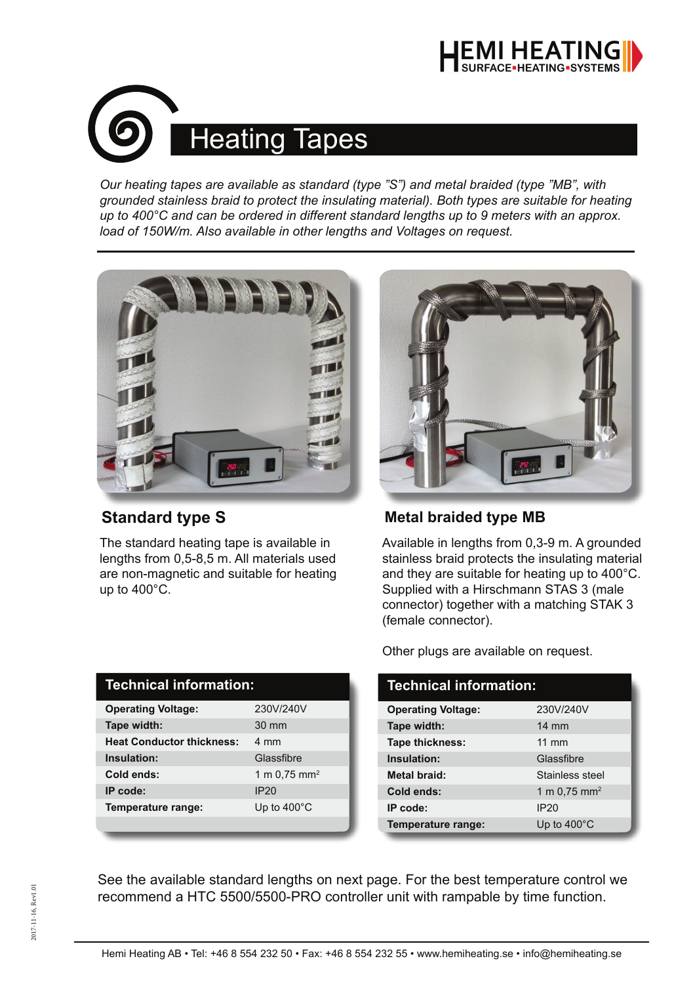



*Our heating tapes are available as standard (type "S") and metal braided (type "MB", with grounded stainless braid to protect the insulating material). Both types are suitable for heating up to 400°C and can be ordered in different standard lengths up to 9 meters with an approx. load of 150W/m. Also available in other lengths and Voltages on request.*



The standard heating tape is available in lengths from 0,5-8,5 m. All materials used are non-magnetic and suitable for heating up to 400°C.

| ,,, | $\overline{\bullet}$ |
|-----|----------------------|

### **Standard type S** Metal braided type MB

Available in lengths from 0,3-9 m. A grounded stainless braid protects the insulating material and they are suitable for heating up to 400°C. Supplied with a Hirschmann STAS 3 (male connector) together with a matching STAK 3 (female connector).

|  |  |  | Other plugs are available on request. |  |  |
|--|--|--|---------------------------------------|--|--|
|--|--|--|---------------------------------------|--|--|

| Technical information:    |                            |  |
|---------------------------|----------------------------|--|
| <b>Operating Voltage:</b> | 230V/240V                  |  |
| Tape width:               | $14 \text{ mm}$            |  |
| Tape thickness:           | $11 \text{ mm}$            |  |
| Insulation:               | Glassfibre                 |  |
| <b>Metal braid:</b>       | Stainless steel            |  |
| Cold ends:                | 1 m $0.75$ mm <sup>2</sup> |  |
| IP code:                  | <b>IP20</b>                |  |
| Temperature range:        | Up to $400^{\circ}$ C      |  |

See the available standard lengths on next page. For the best temperature control we recommend a HTC 5500/5500-PRO controller unit with rampable by time function.

#### **Technical information:**

| <b>Operating Voltage:</b>        | 230V/240V                  |
|----------------------------------|----------------------------|
| Tape width:                      | $30 \text{ mm}$            |
| <b>Heat Conductor thickness:</b> | 4 mm                       |
| Insulation:                      | Glassfibre                 |
| Cold ends:                       | 1 m $0.75$ mm <sup>2</sup> |
| IP code:                         | IP <sub>20</sub>           |
| Temperature range:               | Up to $400^{\circ}$ C      |
|                                  |                            |